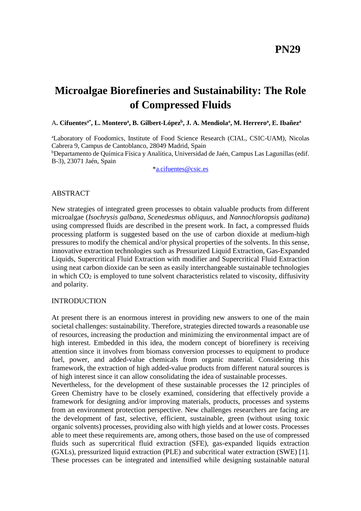# **Microalgae Biorefineries and Sustainability: The Role of Compressed Fluids**

#### A**. Cifuentesa\* , L. Montero<sup>a</sup> , B. Gilbert-López<sup>b</sup> , J. A. Mendiola<sup>a</sup> , M. Herrero<sup>a</sup> , E. Ibañez<sup>a</sup>**

<sup>a</sup>Laboratory of Foodomics, Institute of Food Science Research (CIAL, CSIC-UAM), Nicolas Cabrera 9, Campus de Cantoblanco, 28049 Madrid, Spain <sup>b</sup>Departamento de Química Física y Analítica, Universidad de Jaén, Campus Las Lagunillas (edif. B-3), 23071 Jaén, Spain

[\\*a.cifuentes@csic.es](mailto:a.cifuentes@csic.es)

#### ABSTRACT

New strategies of integrated green processes to obtain valuable products from different microalgae (*Isochrysis galbana*, *Scenedesmus obliquus*, and *Nannochloropsis gaditana*) using compressed fluids are described in the present work. In fact, a compressed fluids processing platform is suggested based on the use of carbon dioxide at medium-high pressures to modify the chemical and/or physical properties of the solvents. In this sense, innovative extraction technologies such as Pressurized Liquid Extraction, Gas-Expanded Liquids, Supercritical Fluid Extraction with modifier and Supercritical Fluid Extraction using neat carbon dioxide can be seen as easily interchangeable sustainable technologies in which  $CO<sub>2</sub>$  is employed to tune solvent characteristics related to viscosity, diffusivity and polarity.

#### **INTRODUCTION**

At present there is an enormous interest in providing new answers to one of the main societal challenges: sustainability. Therefore, strategies directed towards a reasonable use of resources, increasing the production and minimizing the environmental impact are of high interest. Embedded in this idea, the modern concept of biorefinery is receiving attention since it involves from biomass conversion processes to equipment to produce fuel, power, and added-value chemicals from organic material. Considering this framework, the extraction of high added-value products from different natural sources is of high interest since it can allow consolidating the idea of sustainable processes.

Nevertheless, for the development of these sustainable processes the 12 principles of Green Chemistry have to be closely examined, considering that effectively provide a framework for designing and/or improving materials, products, processes and systems from an environment protection perspective. New challenges researchers are facing are the development of fast, selective, efficient, sustainable, green (without using toxic organic solvents) processes, providing also with high yields and at lower costs. Processes able to meet these requirements are, among others, those based on the use of compressed fluids such as supercritical fluid extraction (SFE), gas-expanded liquids extraction (GXLs), pressurized liquid extraction (PLE) and subcritical water extraction (SWE) [1]. These processes can be integrated and intensified while designing sustainable natural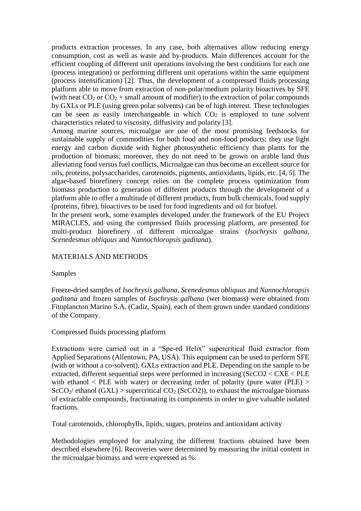products extraction processes. In any case, both alternatives allow reducing energy consumption, cost as well as waste and by-products. Main differences account for the efficient coupling of different unit operations involving the best conditions for each one (process integration) or performing different unit operations within the same equipment (process intensification) [2]. Thus, the development of a compressed fluids processing platform able to move from extraction of non-polar/medium polarity bioactives by SFE (with neat  $CO_2$  or  $CO_2$  + small amount of modifier) to the extraction of polar compounds by GXLs or PLE (using green polar solvents) can be of high interest. These technologies can be seen as easily interchangeable in which  $CO<sub>2</sub>$  is employed to tune solvent characteristics related to viscosity, diffusivity and polarity [3].

Among marine sources, microalgae are one of the most promising feedstocks for sustainable supply of commodities for both food and non-food products; they use light energy and carbon dioxide with higher photosynthetic efficiency than plants for the production of biomass; moreover, they do not need to be grown on arable land thus alleviating food versus fuel conflicts. Microalgae can thus become an excellent source for oils, proteins, polysaccharides, carotenoids, pigments, antioxidants, lipids, etc. [4, 5]. The algae-based biorefinery concept relies on the complete process optimization from biomass production to generation of different products through the development of a platform able to offer a multitude of different products, from bulk chemicals, food supply (proteins, fibre), bioactives to be used for food ingredients and oil for biofuel.

In the present work, some examples developed under the framework of the EU Project MIRACLES, and using the compressed fluids processing platform, are presented for multi-product biorefinery of different microalgae strains (*Isochrysis galbana, Scenedesmus obliquus* and *Nannochloropsis gaditana*).

## MATERIALS AND METHODS

## Samples

Freeze-dried samples of *Isochrysis galbana, Scenedesmus obliquus* and *Nannochloropsis gaditana* and frozen samples of *Isochrysis galbana* (wet biomass) were obtained from Fitoplancton Marino S.A. (Cadiz, Spain), each of them grown under standard conditions of the Company.

## Compressed fluids processing platform

Extractions were carried out in a "Spe-ed Helix" supercritical fluid extractor from Applied Separations (Allentown, PA, USA). This equipment can be used to perform SFE (with or without a co-solvent), GXLs extraction and PLE. Depending on the sample to be extracted, different sequential steps were performed in increasing (ScCO2 < CXE < PLE with ethanol  $\langle$  PLE with water) or decreasing order of polarity (pure water (PLE)  $>$  $\text{ScCO}_2$ / ethanol (GXL) > supercritical  $\text{CO}_2$  (ScCO2)), to exhaust the microalgae biomass of extractable compounds, fractionating its components in order to give valuable isolated fractions.

Total carotenoids, chlorophylls, lipids, sugars, proteins and antioxidant activity

Methodologies employed for analyzing the different fractions obtained have been described elsewhere [6]. Recoveries were determined by measuring the initial content in the microalgae biomass and were expressed as %.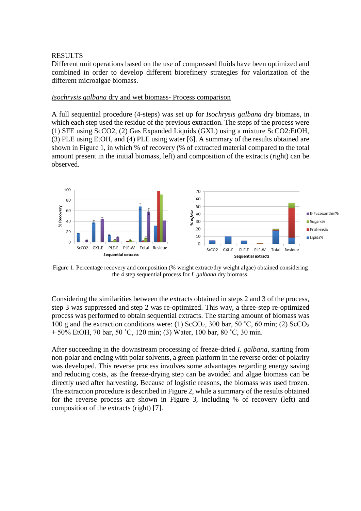## RESULTS

Different unit operations based on the use of compressed fluids have been optimized and combined in order to develop different biorefinery strategies for valorization of the different microalgae biomass.

#### *Isochrysis galbana* dry and wet biomass- Process comparison

A full sequential procedure (4-steps) was set up for *Isochrysis galbana* dry biomass, in which each step used the residue of the previous extraction. The steps of the process were (1) SFE using ScCO2, (2) Gas Expanded Liquids (GXL) using a mixture ScCO2:EtOH, (3) PLE using EtOH, and (4) PLE using water [6]. A summary of the results obtained are shown in Figure 1, in which % of recovery (% of extracted material compared to the total amount present in the initial biomass, left) and composition of the extracts (right) can be observed.



Figure 1. Percentage recovery and composition (% weight extract/dry weight algae) obtained considering the 4 step sequential process for *I. galbana* dry biomass.

Considering the similarities between the extracts obtained in steps 2 and 3 of the process, step 3 was suppressed and step 2 was re-optimized. This way, a three-step re-optimized process was performed to obtain sequential extracts. The starting amount of biomass was 100 g and the extraction conditions were: (1)  $ScCO<sub>2</sub>$ , 300 bar, 50 °C, 60 min; (2)  $ScCO<sub>2</sub>$ + 50% EtOH, 70 bar, 50 ˚C, 120 min; (3) Water, 100 bar, 80 ˚C, 30 min.

After succeeding in the downstream processing of freeze-dried *I. galbana*, starting from non-polar and ending with polar solvents, a green platform in the reverse order of polarity was developed. This reverse process involves some advantages regarding energy saving and reducing costs, as the freeze-drying step can be avoided and algae biomass can be directly used after harvesting. Because of logistic reasons, the biomass was used frozen. The extraction procedure is described in Figure 2, while a summary of the results obtained for the reverse process are shown in Figure 3, including % of recovery (left) and composition of the extracts (right) [7].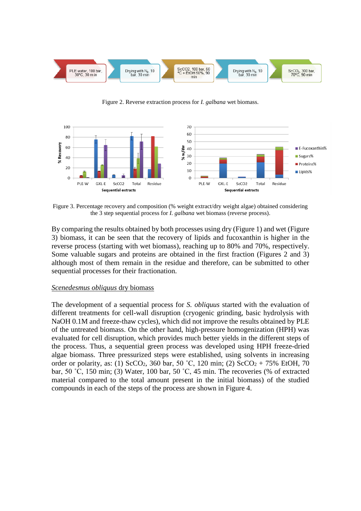

Figure 2. Reverse extraction process for *I. galbana* wet biomass.



Figure 3. Percentage recovery and composition (% weight extract/dry weight algae) obtained considering the 3 step sequential process for *I. galbana* wet biomass (reverse process).

By comparing the results obtained by both processes using dry (Figure 1) and wet (Figure 3) biomass, it can be seen that the recovery of lipids and fucoxanthin is higher in the reverse process (starting with wet biomass), reaching up to 80% and 70%, respectively. Some valuable sugars and proteins are obtained in the first fraction (Figures 2 and 3) although most of them remain in the residue and therefore, can be submitted to other sequential processes for their fractionation.

#### *Scenedesmus obliquus* dry biomass

The development of a sequential process for *S. obliquus* started with the evaluation of different treatments for cell-wall disruption (cryogenic grinding, basic hydrolysis with NaOH 0.1M and freeze-thaw cycles), which did not improve the results obtained by PLE of the untreated biomass. On the other hand, high-pressure homogenization (HPH) was evaluated for cell disruption, which provides much better yields in the different steps of the process. Thus, a sequential green process was developed using HPH freeze-dried algae biomass. Three pressurized steps were established, using solvents in increasing order or polarity, as: (1) ScCO<sub>2</sub>, 360 bar, 50 °C, 120 min; (2) ScCO<sub>2</sub> + 75% EtOH, 70 bar, 50 ˚C, 150 min; (3) Water, 100 bar, 50 ˚C, 45 min. The recoveries (% of extracted material compared to the total amount present in the initial biomass) of the studied compounds in each of the steps of the process are shown in Figure 4.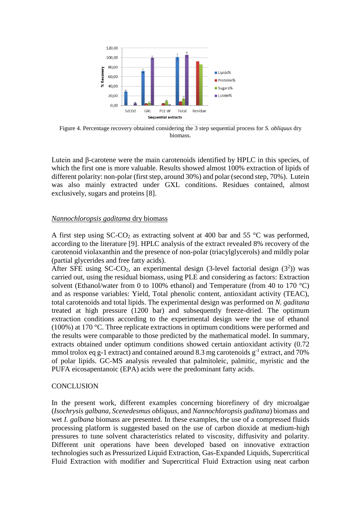

Figure 4. Percentage recovery obtained considering the 3 step sequential process for *S. obliquus* dry biomass.

Lutein and β-carotene were the main carotenoids identified by HPLC in this species, of which the first one is more valuable. Results showed almost 100% extraction of lipids of different polarity: non-polar (first step, around 30%) and polar (second step, 70%). Lutein was also mainly extracted under GXL conditions. Residues contained, almost exclusively, sugars and proteins [8].

#### *Nannochloropsis gaditama* dry biomass

A first step using  $SC-CO<sub>2</sub>$  as extracting solvent at 400 bar and 55 °C was performed, according to the literature [9]. HPLC analysis of the extract revealed 8% recovery of the carotenoid violaxanthin and the presence of non-polar (triacylglycerols) and mildly polar (partial glycerides and free fatty acids).

After SFE using SC-CO<sub>2</sub>, an experimental design (3-level factorial design  $(3^2)$ ) was carried out, using the residual biomass, using PLE and considering as factors: Extraction solvent (Ethanol/water from 0 to 100% ethanol) and Temperature (from 40 to 170  $^{\circ}$ C) and as response variables: Yield, Total phenolic content, antioxidant activity (TEAC), total carotenoids and total lipids. The experimental design was performed on *N. gaditana* treated at high pressure (1200 bar) and subsequently freeze-dried. The optimum extraction conditions according to the experimental design were the use of ethanol (100%) at 170 °C. Three replicate extractions in optimum conditions were performed and the results were comparable to those predicted by the mathematical model. In summary, extracts obtained under optimum conditions showed certain antioxidant activity (0.72 mmol trolox eq g-1 extract) and contained around 8.3 mg carotenoids  $g^{-1}$  extract, and 70% of polar lipids. GC-MS analysis revealed that palmitoleic, palmitic, myristic and the PUFA eicosapentanoic (EPA) acids were the predominant fatty acids.

#### **CONCLUSION**

In the present work, different examples concerning biorefinery of dry microalgae (*Isochrysis galbana, Scenedesmus obliquus,* and *Nannochloropsis gaditana*) biomass and wet *I. galbana* biomass are presented. In these examples, the use of a compressed fluids processing platform is suggested based on the use of carbon dioxide at medium-high pressures to tune solvent characteristics related to viscosity, diffusivity and polarity. Different unit operations have been developed based on innovative extraction technologies such as Pressurized Liquid Extraction, Gas-Expanded Liquids, Supercritical Fluid Extraction with modifier and Supercritical Fluid Extraction using neat carbon